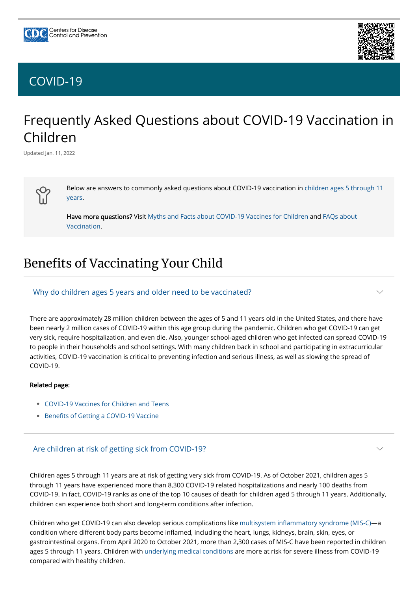# Frequently Asked Questions about COVID-19 Vaccination in Children

Updated Jan. 11, 2022



[Below are answers to commonly asked questions about COVID-19 vaccination in children ages 5 through 11](https://www.cdc.gov/coronavirus/2019-ncov/vaccines/recommendations/children-teens.html) years.

[Have more questions? Visit M](https://www.cdc.gov/coronavirus/2019-ncov/vaccines/faq.html)[yths and Facts about COVID-19 Vaccines for Childre](https://www.cdc.gov/coronavirus/2019-ncov/vaccines/children-facts.html)[n and FAQs about](https://www.cdc.gov/coronavirus/2019-ncov/vaccines/faq.html) Vaccination.

# Benefits of Vaccinating Your Child

- [COVID-19 Vaccines for Children and Teens](https://www.cdc.gov/coronavirus/2019-ncov/vaccines/recommendations/children-teens.html) •
- [Benefits of Getting a COVID-19 Vaccine](https://www.cdc.gov/coronavirus/2019-ncov/vaccines/vaccine-benefits.html)

There are approximately 28 million children between the ages of 5 and 11 years old in the United States, and there have been nearly 2 million cases of COVID-19 within this age group during the pandemic. Children who get COVID-19 can get very sick, require hospitalization, and even die. Also, younger school-aged children who get infected can spread COVID-19 to people in their households and school settings. With many children back in school and participating in extracurricular activities, COVID-19 vaccination is critical to preventing infection and serious illness, as well as slowing the spread of COVID-19.

#### Related page:

### Why do children ages 5 years and older need to be vaccinated?

 $\smile$ 

Children ages 5 through 11 years are at risk of getting very sick from COVID-19. As of October 2021, children ages 5 through 11 years have experienced more than 8,300 COVID-19 related hospitalizations and nearly 100 deaths from COVID-19. In fact, COVID-19 ranks as one of the top 10 causes of death for children aged 5 through 11 years. Additionally, children can experience both short and long-term conditions after infection.

Children who get COVID-19 can also develop serious complications like [multisystem inflammatory syndrome \(MIS-C\)](https://www.cdc.gov/mis/mis-c.html)—a condition where different body parts become inflamed, including the heart, lungs, kidneys, brain, skin, eyes, or gastrointestinal organs. From April 2020 to October 2021, more than 2,300 cases of MIS-C have been reported in children ages 5 through 11 years. Children with [underlying medical conditions](https://www.cdc.gov/coronavirus/2019-ncov/need-extra-precautions/people-with-medical-conditions.html) are more at risk for severe illness from COVID-19 compared with healthy children.

#### Are children at risk of getting sick from COVID-19?





# [COVID-19](https://www.cdc.gov/coronavirus/2019-nCoV/index.html)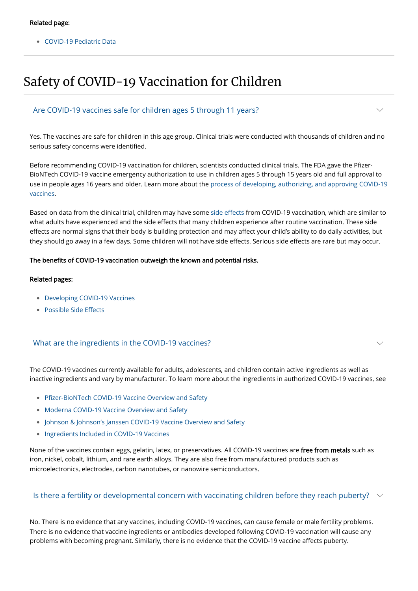• [COVID-19 Pediatric Data](https://covid.cdc.gov/covid-data-tracker/#pediatric-data)

# Safety of COVID-19 Vaccination for Children

Yes. The vaccines are safe for children in this age group. Clinical trials were conducted with thousands of children and no serious safety concerns were identified.

Before recommending COVID-19 vaccination for children, scientists conducted clinical trials. The FDA gave the Pfizer-BioNTech COVID-19 vaccine emergency authorization to use in children ages 5 through 15 years old and full approval to [use in people ages 16 years and older. Learn more about the process of developing, authorizing, and approving COVID-19](https://www.cdc.gov/coronavirus/2019-ncov/vaccines/distributing/steps-ensure-safety.html) vaccines.

- [Developing COVID-19 Vaccines](https://www.cdc.gov/coronavirus/2019-ncov/vaccines/distributing/steps-ensure-safety.html)
- [Possible Side Effects](https://www.cdc.gov/coronavirus/2019-ncov/vaccines/expect/after.html) •

Based on data from the clinical trial, children may have some [side effects](https://www.cdc.gov/coronavirus/2019-ncov/vaccines/expect/after.html) from COVID-19 vaccination, which are similar to what adults have experienced and the side effects that many children experience after routine vaccination. These side effects are normal signs that their body is building protection and may affect your child's ability to do daily activities, but they should go away in a few days. Some children will not have side effects. Serious side effects are rare but may occur.

None of the vaccines contain eggs, gelatin, latex, or preservatives. All COVID-19 vaccines are free from metals such as iron, nickel, cobalt, lithium, and rare earth alloys. They are also free from manufactured products such as microelectronics, electrodes, carbon nanotubes, or nanowire semiconductors.

### Is there a fertility or developmental concern with vaccinating children before they reach puberty?  $~\vee~$

#### The benefits of COVID-19 vaccination outweigh the known and potential risks.

#### Related pages:

### Are COVID-19 vaccines safe for children ages 5 through 11 years?

The COVID-19 vaccines currently available for adults, adolescents, and children contain active ingredients as well as inactive ingredients and vary by manufacturer. To learn more about the ingredients in authorized COVID-19 vaccines, see

- [Pfizer-BioNTech COVID-19 Vaccine Overview and Safety](https://www.cdc.gov/coronavirus/2019-ncov/vaccines/different-vaccines/Pfizer-BioNTech.html)
- [Moderna COVID-19 Vaccine Overview and Safety](https://www.cdc.gov/coronavirus/2019-ncov/vaccines/different-vaccines/Moderna.html)
- [Johnson & Johnson's Janssen COVID-19 Vaccine Overview and Safety](https://www.cdc.gov/coronavirus/2019-ncov/vaccines/different-vaccines/Janssen.html)
- [Ingredients Included in COVID-19 Vaccines](https://www.cdc.gov/vaccines/covid-19/clinical-considerations/covid-19-vaccines-us.html#Appendix-C)

 $\smile$ 

 $\vee$ 

### What are the ingredients in the COVID-19 vaccines?

No. There is no evidence that any vaccines, including COVID-19 vaccines, can cause female or male fertility problems. There is no evidence that vaccine ingredients or antibodies developed following COVID-19 vaccination will cause any problems with becoming pregnant. Similarly, there is no evidence that the COVID-19 vaccine affects puberty.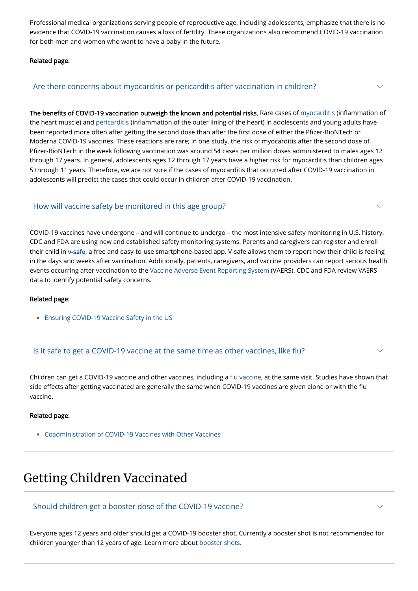Professional medical organizations serving people of reproductive age, including adolescents, emphasize that there is no evidence that COVID-19 vaccination causes a loss of fertility. These organizations also recommend COVID-19 vaccination for both men and women who want to have a baby in the future.

Related page:

The benefits of COVID-19 vaccination outweigh the known and potential risks. Rare cases of [myocarditis](https://www.cdc.gov/coronavirus/2019-ncov/vaccines/safety/myocarditis.html) (inflammation of the heart muscle) and [pericarditis](https://www.cdc.gov/coronavirus/2019-ncov/vaccines/safety/myocarditis.html) (inflammation of the outer lining of the heart) in adolescents and young adults have been reported more often after getting the second dose than after the first dose of either the Pfizer-BioNTech or Moderna COVID-19 vaccines. These reactions are rare; in one study, the risk of myocarditis after the second dose of Pfizer-BioNTech in the week following vaccination was around 54 cases per million doses administered to males ages 12 through 17 years. In general, adolescents ages 12 through 17 years have a higher risk for myocarditis than children ages 5 through 11 years. Therefore, we are not sure if the cases of myocarditis that occurred after COVID-19 vaccination in adolescents will predict the cases that could occur in children after COVID-19 vaccination.

### Are there concerns about myocarditis or pericarditis after vaccination in children?

COVID-19 vaccines have undergone – and will continue to undergo – the most intensive safety monitoring in U.S. history. CDC and FDA are using new and established safety monitoring systems. Parents and caregivers can register and enroll their child in [v-safe,](https://www.cdc.gov/coronavirus/2019-ncov/vaccines/safety/vsafe.html) a free and easy-to-use smartphone-based app. V-safe allows them to report how their child is feeling in the days and weeks after vaccination. Additionally, patients, caregivers, and vaccine providers can report serious health events occurring after vaccination to the [Vaccine Adverse Event Reporting System](https://www.cdc.gov/coronavirus/2019-ncov/vaccines/safety/vaers.html) (VAERS). CDC and FDA review VAERS data to identify potential safety concerns.

#### Related page:

• [Ensuring COVID-19 Vaccine Safety in the US](https://www.cdc.gov/coronavirus/2019-ncov/vaccines/safety.html)

### How will vaccine safety be monitored in this age group?

Children can get a COVID-19 vaccine and other vaccines, including a [flu vaccine,](https://www.cdc.gov/flu/season/faq-flu-season-2021-2022.htm#Getting-a-Flu-Vaccine-During-the-COVID-19-Pandemic) at the same visit. Studies have shown that side effects after getting vaccinated are generally the same when COVID-19 vaccines are given alone or with the flu vaccine.

#### Related page:

[Coadministration of COVID-19 Vaccines with Other Vaccines](https://www.cdc.gov/vaccines/covid-19/clinical-considerations/covid-19-vaccines-us.html#Coadministration) •

### Is it safe to get a COVID-19 vaccine at the same time as other vaccines, like flu?

# Getting Children Vaccinated

Everyone ages 12 years and older should get a COVID-19 booster shot. Currently a booster shot is not recommended for children younger than 12 years of age. Learn more about [booster shots.](https://www.cdc.gov/coronavirus/2019-ncov/vaccines/booster-shot.html)

Should children get a booster dose of the COVID-19 vaccine?

 $\smile$ 

 $\vee$ 

 $\smile$ 

 $\smile$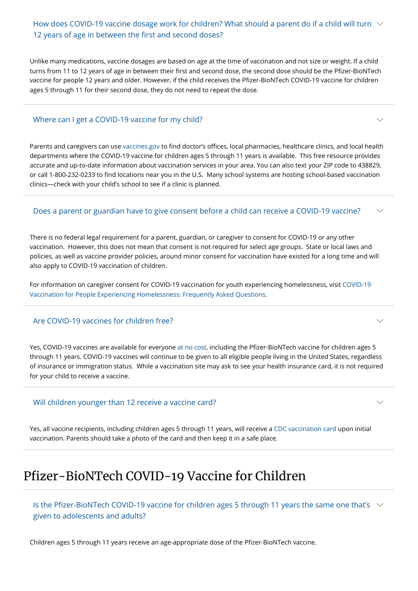Unlike many medications, vaccine dosages are based on age at the time of vaccination and not size or weight. If a child turns from 11 to 12 years of age in between their first and second dose, the second dose should be the Pfizer-BioNTech vaccine for people 12 years and older. However, if the child receives the Pfizer-BioNTech COVID-19 vaccine for children ages 5 through 11 for their second dose, they do not need to repeat the dose.

# How does COVID-19 vaccine dosage work for children? What should a parent do if a child will turn  $~\vee~$ 12 years of age in between the first and second doses?

Parents and caregivers can use [vaccines.gov](https://www.vaccines.gov/) to find doctor's offices, local pharmacies, healthcare clinics, and local health departments where the COVID-19 vaccine for children ages 5 through 11 years is available. This free resource provides accurate and up-to-date information about vaccination services in your area. You can also text your ZIP code to 438829, or call 1-800-232-0233 to find locations near you in the U.S. Many school systems are hosting school-based vaccination clinics—check with your child's school to see if a clinic is planned.

#### Does a parent or guardian have to give consent before a child can receive a COVID-19 vaccine?  $\searrow$

## Where can I get a COVID-19 vaccine for my child?

There is no federal legal requirement for a parent, guardian, or caregiver to consent for COVID-19 or any other vaccination. However, this does not mean that consent is not required for select age groups. State or local laws and policies, as well as vaccine provider policies, around minor consent for vaccination have existed for a long time and will also apply to COVID-19 vaccination of children.

Is the Pfizer-BioNTech COVID-19 vaccine for children ages 5 through 11 years the same one that's  $~\vee~$ given to adolescents and adults?

[For information on caregiver consent for COVID-19 vaccination for youth experiencing homelessness, visit COVID-19](https://www.cdc.gov/coronavirus/2019-ncov/community/homeless-shelters/vaccine-faqs.html) Vaccination for People Experiencing Homelessness: Frequently Asked Questions.

Yes, COVID-19 vaccines are available for everyone [at no cost,](https://www.cdc.gov/coronavirus/2019-ncov/vaccines/no-cost.html) including the Pfizer-BioNTech vaccine for children ages 5 through 11 years. COVID-19 vaccines will continue to be given to all eligible people living in the United States, regardless of insurance or immigration status. While a vaccination site may ask to see your health insurance card, it is not required for your child to receive a vaccine.

### Are COVID-19 vaccines for children free?

Yes, all vaccine recipients, including children ages 5 through 11 years, will receive a [CDC vaccination card](https://www.cdc.gov/coronavirus/2019-ncov/vaccines/vaccination-card.html) upon initial vaccination. Parents should take a photo of the card and then keep it in a safe place.

 $\smile$ 

 $\smile$ 

 $\vee$ 

### Will children younger than 12 receive a vaccine card?

# Pfizer-BioNTech COVID-19 Vaccine for Children

Children ages 5 through 11 years receive an age-appropriate dose of the Pfizer-BioNTech vaccine.